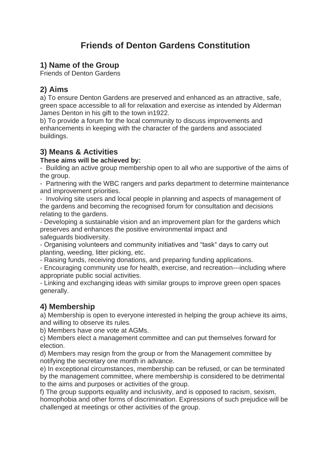# **Friends of Denton Gardens Constitution**

# **1) Name of the Group**

Friends of Denton Gardens

# **2) Aims**

a) To ensure Denton Gardens are preserved and enhanced as an attractive, safe, green space accessible to all for relaxation and exercise as intended by Alderman James Denton in his gift to the town in1922.

b) To provide a forum for the local community to discuss improvements and enhancements in keeping with the character of the gardens and associated buildings.

## **3) Means & Activities**

#### **These aims will be achieved by:**

- Building an active group membership open to all who are supportive of the aims of the group.

- Partnering with the WBC rangers and parks department to determine maintenance and improvement priorities.

- Involving site users and local people in planning and aspects of management of the gardens and becoming the recognised forum for consultation and decisions relating to the gardens.

- Developing a sustainable vision and an improvement plan for the gardens which preserves and enhances the positive environmental impact and safeguards biodiversity.

- Organising volunteers and community initiatives and "task" days to carry out planting, weeding, litter picking, etc.

- Raising funds, receiving donations, and preparing funding applications.

- Encouraging community use for health, exercise, and recreation---including where appropriate public social activities.

- Linking and exchanging ideas with similar groups to improve green open spaces generally.

#### **4) Membership**

a) Membership is open to everyone interested in helping the group achieve its aims, and willing to observe its rules.

b) Members have one vote at AGMs.

c) Members elect a management committee and can put themselves forward for election.

d) Members may resign from the group or from the Management committee by notifying the secretary one month in advance.

e) In exceptional circumstances, membership can be refused, or can be terminated by the management committee, where membership is considered to be detrimental to the aims and purposes or activities of the group.

f) The group supports equality and inclusivity, and is opposed to racism, sexism, homophobia and other forms of discrimination. Expressions of such prejudice will be challenged at meetings or other activities of the group.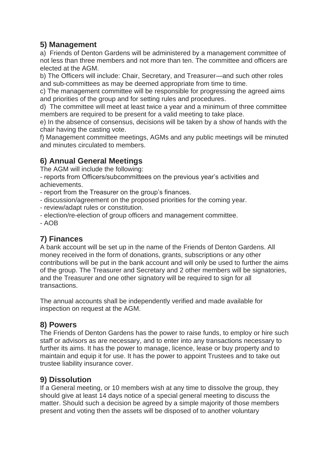## **5) Management**

a) Friends of Denton Gardens will be administered by a management committee of not less than three members and not more than ten. The committee and officers are elected at the AGM.

b) The Officers will include: Chair, Secretary, and Treasurer—and such other roles and sub-committees as may be deemed appropriate from time to time.

c) The management committee will be responsible for progressing the agreed aims and priorities of the group and for setting rules and procedures.

d) The committee will meet at least twice a year and a minimum of three committee members are required to be present for a valid meeting to take place.

e) In the absence of consensus, decisions will be taken by a show of hands with the chair having the casting vote.

f) Management committee meetings, AGMs and any public meetings will be minuted and minutes circulated to members.

# **6) Annual General Meetings**

The AGM will include the following:

- reports from Officers/subcommittees on the previous year's activities and achievements.

- report from the Treasurer on the group's finances.

- discussion/agreement on the proposed priorities for the coming year.
- review/adapt rules or constitution.
- election/re-election of group officers and management committee.

- AOB

#### **7) Finances**

A bank account will be set up in the name of the Friends of Denton Gardens. All money received in the form of donations, grants, subscriptions or any other contributions will be put in the bank account and will only be used to further the aims of the group. The Treasurer and Secretary and 2 other members will be signatories, and the Treasurer and one other signatory will be required to sign for all transactions.

The annual accounts shall be independently verified and made available for inspection on request at the AGM.

#### **8) Powers**

The Friends of Denton Gardens has the power to raise funds, to employ or hire such staff or advisors as are necessary, and to enter into any transactions necessary to further its aims. It has the power to manage, licence, lease or buy property and to maintain and equip it for use. It has the power to appoint Trustees and to take out trustee liability insurance cover.

#### **9) Dissolution**

If a General meeting, or 10 members wish at any time to dissolve the group, they should give at least 14 days notice of a special general meeting to discuss the matter. Should such a decision be agreed by a simple majority of those members present and voting then the assets will be disposed of to another voluntary